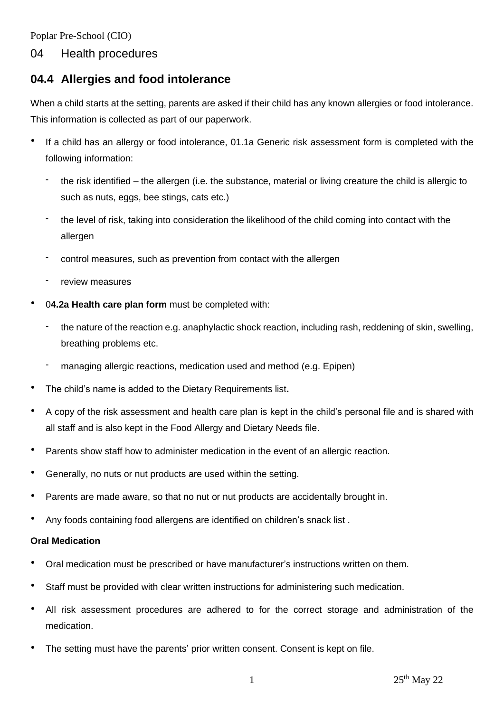Poplar Pre-School (CIO)

## 04 Health procedures

## **04.4 Allergies and food intolerance**

When a child starts at the setting, parents are asked if their child has any known allergies or food intolerance. This information is collected as part of our paperwork.

- If a child has an allergy or food intolerance, 01.1a Generic risk assessment form is completed with the following information:
	- the risk identified the allergen (i.e. the substance, material or living creature the child is allergic to such as nuts, eggs, bee stings, cats etc.)
	- the level of risk, taking into consideration the likelihood of the child coming into contact with the allergen
	- control measures, such as prevention from contact with the allergen
	- review measures
- 0**4.2a Health care plan form** must be completed with:
	- the nature of the reaction e.g. anaphylactic shock reaction, including rash, reddening of skin, swelling, breathing problems etc.
	- managing allergic reactions, medication used and method (e.g. Epipen)
- The child's name is added to the Dietary Requirements list**.**
- A copy of the risk assessment and health care plan is kept in the child's personal file and is shared with all staff and is also kept in the Food Allergy and Dietary Needs file.
- Parents show staff how to administer medication in the event of an allergic reaction.
- Generally, no nuts or nut products are used within the setting.
- Parents are made aware, so that no nut or nut products are accidentally brought in.
- Any foods containing food allergens are identified on children's snack list .

## **Oral Medication**

- Oral medication must be prescribed or have manufacturer's instructions written on them.
- Staff must be provided with clear written instructions for administering such medication.
- All risk assessment procedures are adhered to for the correct storage and administration of the medication.
- The setting must have the parents' prior written consent. Consent is kept on file.